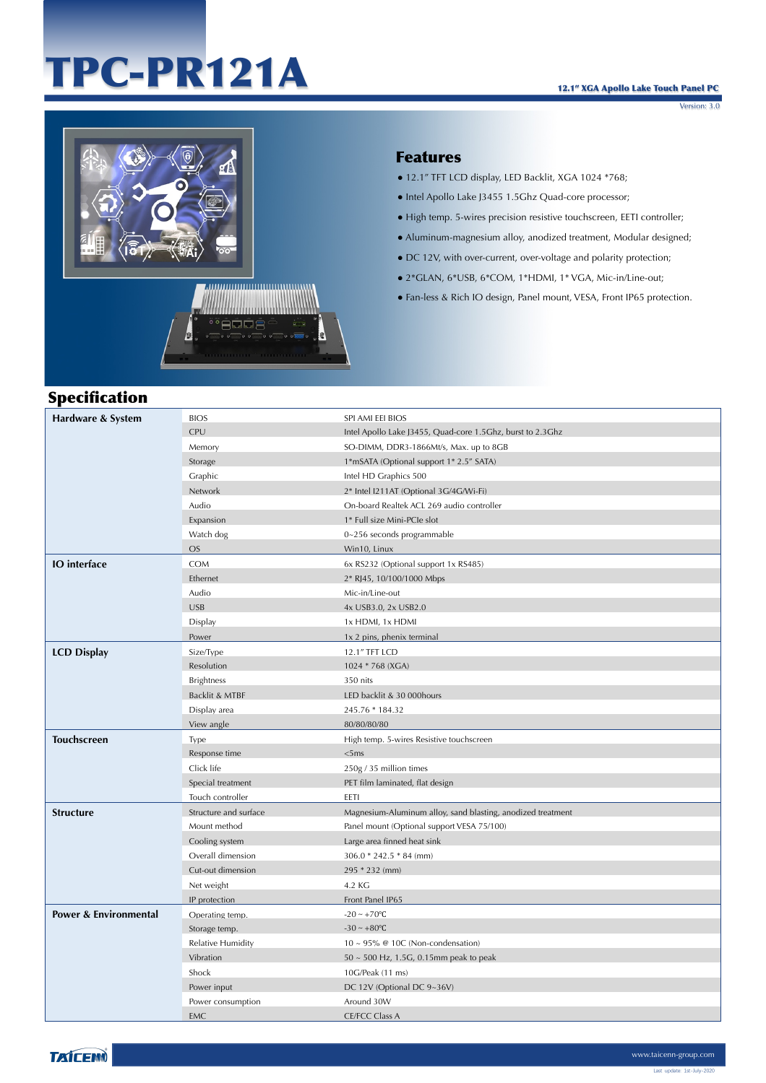# TPC-PR121A



#### Features

- 12.1" TFT LCD display, LED Backlit, XGA 1024 \*768;
- Intel Apollo Lake J3455 1.5Ghz Quad-core processor;
- High temp. 5-wires precision resistive touchscreen, EETI controller;
- Aluminum-magnesium alloy, anodized treatment, Modular designed;
- DC 12V, with over-current, over-voltage and polarity protection;
- 2\*GLAN, 6\*USB, 6\*COM, 1\*HDMI, 1\* VGA, Mic-in/Line-out;
- Fan-less & Rich IO design, Panel mount, VESA, Front IP65 protection.

## Specification

| Hardware & System                | <b>BIOS</b>              | SPI AMI EEI BIOS                                            |
|----------------------------------|--------------------------|-------------------------------------------------------------|
|                                  | <b>CPU</b>               | Intel Apollo Lake J3455, Quad-core 1.5Ghz, burst to 2.3Ghz  |
|                                  | Memory                   | SO-DIMM, DDR3-1866Mt/s, Max. up to 8GB                      |
|                                  | Storage                  | 1*mSATA (Optional support 1* 2.5" SATA)                     |
|                                  | Graphic                  | Intel HD Graphics 500                                       |
|                                  | Network                  | 2* Intel I211AT (Optional 3G/4G/Wi-Fi)                      |
|                                  | Audio                    | On-board Realtek ACL 269 audio controller                   |
|                                  | Expansion                | 1* Full size Mini-PCIe slot                                 |
|                                  | Watch dog                | 0~256 seconds programmable                                  |
|                                  | <b>OS</b>                | Win10, Linux                                                |
| <b>IO</b> interface              | <b>COM</b>               | 6x RS232 (Optional support 1x RS485)                        |
|                                  | Ethernet                 | 2* RJ45, 10/100/1000 Mbps                                   |
|                                  | Audio                    | Mic-in/Line-out                                             |
|                                  | <b>USB</b>               | 4x USB3.0, 2x USB2.0                                        |
|                                  | Display                  | 1x HDMI, 1x HDMI                                            |
|                                  | Power                    | 1x 2 pins, phenix terminal                                  |
| <b>LCD Display</b>               | Size/Type                | 12.1" TFT LCD                                               |
|                                  | Resolution               | 1024 * 768 (XGA)                                            |
|                                  | <b>Brightness</b>        | 350 nits                                                    |
|                                  | Backlit & MTBF           | LED backlit & 30 000hours                                   |
|                                  | Display area             | 245.76 * 184.32                                             |
|                                  | View angle               | 80/80/80/80                                                 |
| <b>Touchscreen</b>               | Type                     | High temp. 5-wires Resistive touchscreen                    |
|                                  | Response time            | <5ms                                                        |
|                                  | Click life               | 250g / 35 million times                                     |
|                                  | Special treatment        | PET film laminated, flat design                             |
|                                  | Touch controller         | EETI                                                        |
| <b>Structure</b>                 | Structure and surface    | Magnesium-Aluminum alloy, sand blasting, anodized treatment |
|                                  | Mount method             | Panel mount (Optional support VESA 75/100)                  |
|                                  | Cooling system           | Large area finned heat sink                                 |
|                                  | Overall dimension        | $306.0 * 242.5 * 84$ (mm)                                   |
|                                  | Cut-out dimension        | 295 * 232 (mm)                                              |
|                                  | Net weight               | 4.2 KG                                                      |
|                                  | IP protection            | Front Panel IP65                                            |
| <b>Power &amp; Environmental</b> | Operating temp.          | $-20 \sim +70$ °C                                           |
|                                  | Storage temp.            | $-30 \sim +80$ °C                                           |
|                                  | <b>Relative Humidity</b> | 10 ~ 95% @ 10C (Non-condensation)                           |
|                                  | Vibration                | $50 \sim 500$ Hz, 1.5G, 0.15mm peak to peak                 |
|                                  | Shock                    | 10G/Peak (11 ms)                                            |
|                                  | Power input              | DC 12V (Optional DC 9~36V)                                  |
|                                  | Power consumption        | Around 30W                                                  |
|                                  | EMC                      | <b>CE/FCC Class A</b>                                       |